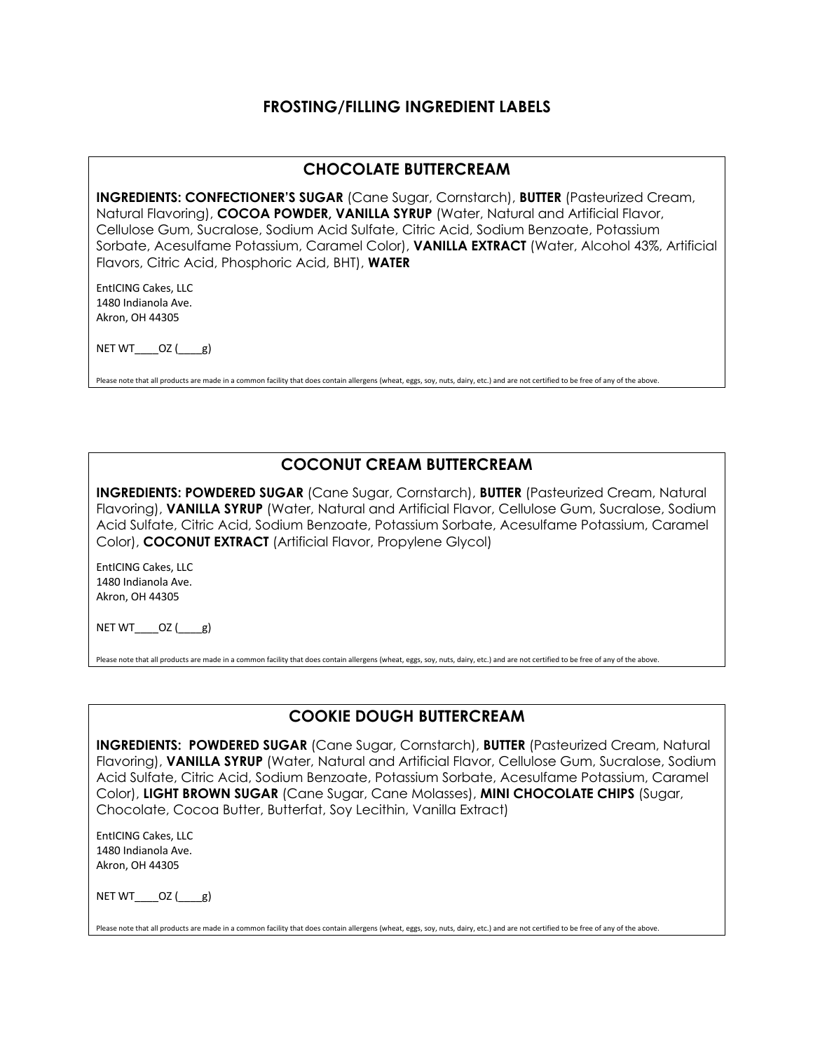# **FROSTING/FILLING INGREDIENT LABELS**

### **CHOCOLATE BUTTERCREAM**

**INGREDIENTS: CONFECTIONER'S SUGAR** (Cane Sugar, Cornstarch), **BUTTER** (Pasteurized Cream, Natural Flavoring), **COCOA POWDER, VANILLA SYRUP** (Water, Natural and Artificial Flavor, Cellulose Gum, Sucralose, Sodium Acid Sulfate, Citric Acid, Sodium Benzoate, Potassium Sorbate, Acesulfame Potassium, Caramel Color), **VANILLA EXTRACT** (Water, Alcohol 43%, Artificial Flavors, Citric Acid, Phosphoric Acid, BHT), **WATER**

EntICING Cakes, LLC 1480 Indianola Ave. Akron, OH 44305

 $NETWT$ \_\_\_\_OZ $($ g)

Please note that all products are made in a common facility that does contain allergens (wheat, eggs, soy, nuts, dairy, etc.) and are not certified to be free of any of the above.

# **COCONUT CREAM BUTTERCREAM**

**INGREDIENTS: POWDERED SUGAR** (Cane Sugar, Cornstarch), **BUTTER** (Pasteurized Cream, Natural Flavoring), **VANILLA SYRUP** (Water, Natural and Artificial Flavor, Cellulose Gum, Sucralose, Sodium Acid Sulfate, Citric Acid, Sodium Benzoate, Potassium Sorbate, Acesulfame Potassium, Caramel Color), **COCONUT EXTRACT** (Artificial Flavor, Propylene Glycol)

EntICING Cakes, LLC 1480 Indianola Ave. Akron, OH 44305

NET WT $OZ$  (  $g$ )

Please note that all products are made in a common facility that does contain allergens (wheat, eggs, soy, nuts, dairy, etc.) and are not certified to be free of any of the above

# **COOKIE DOUGH BUTTERCREAM**

**INGREDIENTS: POWDERED SUGAR** (Cane Sugar, Cornstarch), **BUTTER** (Pasteurized Cream, Natural Flavoring), **VANILLA SYRUP** (Water, Natural and Artificial Flavor, Cellulose Gum, Sucralose, Sodium Acid Sulfate, Citric Acid, Sodium Benzoate, Potassium Sorbate, Acesulfame Potassium, Caramel Color), **LIGHT BROWN SUGAR** (Cane Sugar, Cane Molasses), **MINI CHOCOLATE CHIPS** (Sugar, Chocolate, Cocoa Butter, Butterfat, Soy Lecithin, Vanilla Extract)

EntICING Cakes, LLC 1480 Indianola Ave. Akron, OH 44305

NET WT $OZ$  (  $g$ )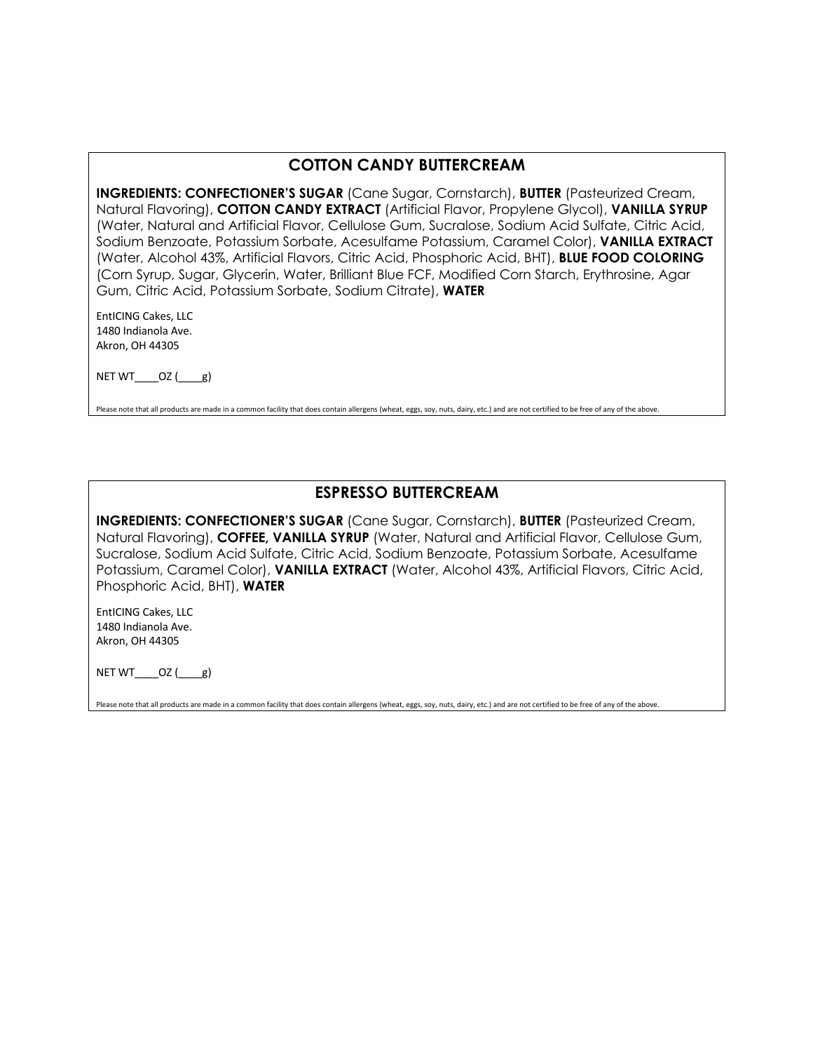# **COTTON CANDY BUTTERCREAM**

**INGREDIENTS: CONFECTIONER'S SUGAR** (Cane Sugar, Cornstarch), **BUTTER** (Pasteurized Cream, Natural Flavoring), **COTTON CANDY EXTRACT** (Artificial Flavor, Propylene Glycol), **VANILLA SYRUP**  (Water, Natural and Artificial Flavor, Cellulose Gum, Sucralose, Sodium Acid Sulfate, Citric Acid, Sodium Benzoate, Potassium Sorbate, Acesulfame Potassium, Caramel Color), **VANILLA EXTRACT**  (Water, Alcohol 43%, Artificial Flavors, Citric Acid, Phosphoric Acid, BHT), **BLUE FOOD COLORING**  (Corn Syrup, Sugar, Glycerin, Water, Brilliant Blue FCF, Modified Corn Starch, Erythrosine, Agar Gum, Citric Acid, Potassium Sorbate, Sodium Citrate), **WATER**

EntICING Cakes, LLC 1480 Indianola Ave. Akron, OH 44305

NET  $WT$   $OZ$  ( $g$ )

Please note that all products are made in a common facility that does contain allergens (wheat, eggs, soy, nuts, dairy, etc.) and are not certified to be free of any of the above.

# **ESPRESSO BUTTERCREAM**

**INGREDIENTS: CONFECTIONER'S SUGAR** (Cane Sugar, Cornstarch), **BUTTER** (Pasteurized Cream, Natural Flavoring), **COFFEE, VANILLA SYRUP** (Water, Natural and Artificial Flavor, Cellulose Gum, Sucralose, Sodium Acid Sulfate, Citric Acid, Sodium Benzoate, Potassium Sorbate, Acesulfame Potassium, Caramel Color), **VANILLA EXTRACT** (Water, Alcohol 43%, Artificial Flavors, Citric Acid, Phosphoric Acid, BHT), **WATER**

EntICING Cakes, LLC 1480 Indianola Ave. Akron, OH 44305

NET WT\_\_\_\_OZ (\_\_\_\_g)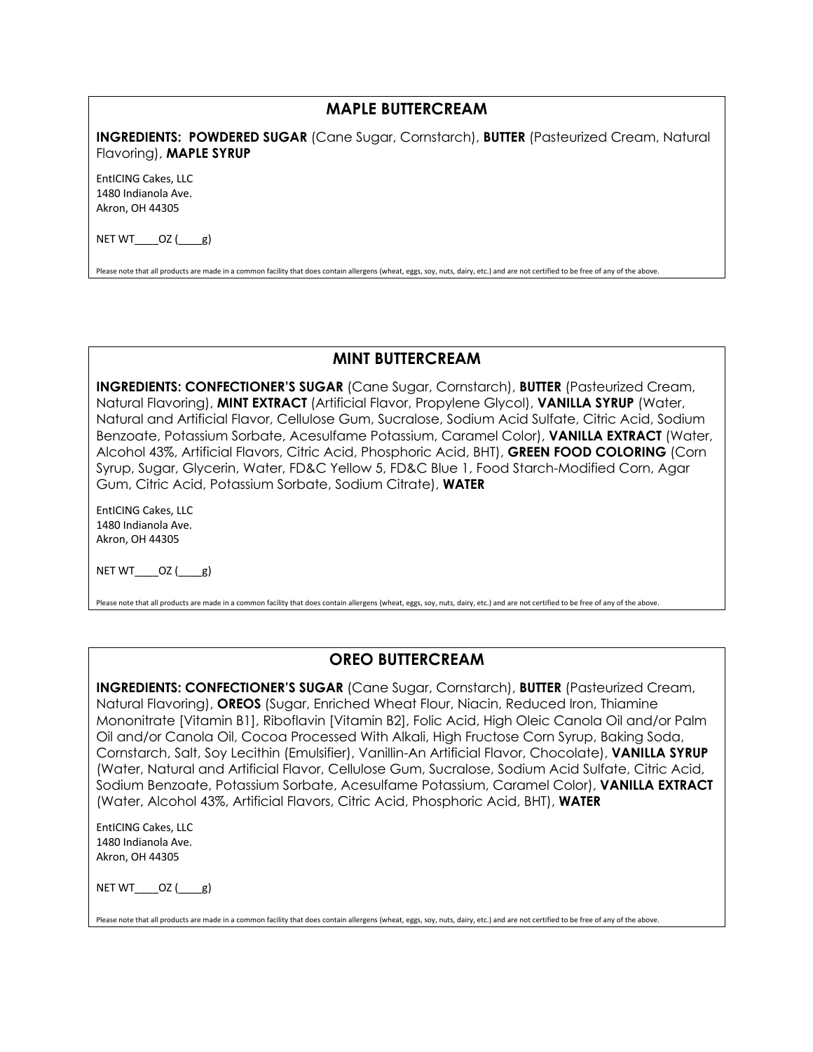### **MAPLE BUTTERCREAM**

**INGREDIENTS: POWDERED SUGAR** (Cane Sugar, Cornstarch), **BUTTER** (Pasteurized Cream, Natural Flavoring), **MAPLE SYRUP**

EntICING Cakes, LLC 1480 Indianola Ave. Akron, OH 44305

NET  $WT$   $OZ$  ( $g$ )

Please note that all products are made in a common facility that does contain allergens (wheat, eggs, soy, nuts, dairy, etc.) and are not certified to be free of any of the above.

#### **MINT BUTTERCREAM**

**INGREDIENTS: CONFECTIONER'S SUGAR** (Cane Sugar, Cornstarch), **BUTTER** (Pasteurized Cream, Natural Flavoring), **MINT EXTRACT** (Artificial Flavor, Propylene Glycol), **VANILLA SYRUP** (Water, Natural and Artificial Flavor, Cellulose Gum, Sucralose, Sodium Acid Sulfate, Citric Acid, Sodium Benzoate, Potassium Sorbate, Acesulfame Potassium, Caramel Color), **VANILLA EXTRACT** (Water, Alcohol 43%, Artificial Flavors, Citric Acid, Phosphoric Acid, BHT), **GREEN FOOD COLORING** (Corn Syrup, Sugar, Glycerin, Water, FD&C Yellow 5, FD&C Blue 1, Food Starch-Modified Corn, Agar Gum, Citric Acid, Potassium Sorbate, Sodium Citrate), **WATER**

EntICING Cakes, LLC 1480 Indianola Ave. Akron, OH 44305

 $NET WT$   $OZ$  ( $g$ )

Please note that all products are made in a common facility that does contain allergens (wheat, eggs, soy, nuts, dairy, etc.) and are not certified to be free of any of the above.

#### **OREO BUTTERCREAM**

**INGREDIENTS: CONFECTIONER'S SUGAR** (Cane Sugar, Cornstarch), **BUTTER** (Pasteurized Cream, Natural Flavoring), **OREOS** (Sugar, Enriched Wheat Flour, Niacin, Reduced Iron, Thiamine Mononitrate [Vitamin B1], Riboflavin [Vitamin B2], Folic Acid, High Oleic Canola Oil and/or Palm Oil and/or Canola Oil, Cocoa Processed With Alkali, High Fructose Corn Syrup, Baking Soda, Cornstarch, Salt, Soy Lecithin (Emulsifier), Vanillin-An Artificial Flavor, Chocolate), **VANILLA SYRUP**  (Water, Natural and Artificial Flavor, Cellulose Gum, Sucralose, Sodium Acid Sulfate, Citric Acid, Sodium Benzoate, Potassium Sorbate, Acesulfame Potassium, Caramel Color), **VANILLA EXTRACT**  (Water, Alcohol 43%, Artificial Flavors, Citric Acid, Phosphoric Acid, BHT), **WATER**

EntICING Cakes, LLC 1480 Indianola Ave. Akron, OH 44305

NET WT\_\_\_\_OZ (\_\_\_\_g)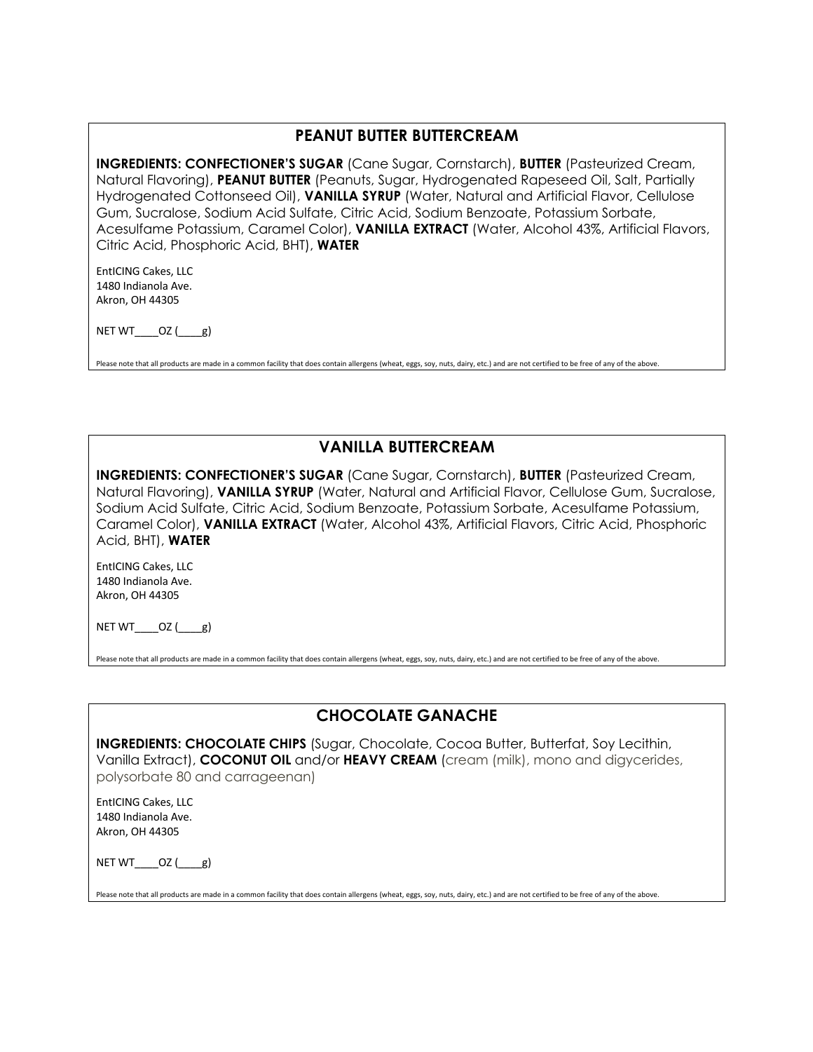### **PEANUT BUTTER BUTTERCREAM**

**INGREDIENTS: CONFECTIONER'S SUGAR** (Cane Sugar, Cornstarch), **BUTTER** (Pasteurized Cream, Natural Flavoring), **PEANUT BUTTER** (Peanuts, Sugar, Hydrogenated Rapeseed Oil, Salt, Partially Hydrogenated Cottonseed Oil), **VANILLA SYRUP** (Water, Natural and Artificial Flavor, Cellulose Gum, Sucralose, Sodium Acid Sulfate, Citric Acid, Sodium Benzoate, Potassium Sorbate, Acesulfame Potassium, Caramel Color), **VANILLA EXTRACT** (Water, Alcohol 43%, Artificial Flavors, Citric Acid, Phosphoric Acid, BHT), **WATER**

EntICING Cakes, LLC 1480 Indianola Ave. Akron, OH 44305

NET WT $OZ$  ( $g$ )

Please note that all products are made in a common facility that does contain allergens (wheat, eggs, soy, nuts, dairy, etc.) and are not certified to be free of any of the above

# **VANILLA BUTTERCREAM**

**INGREDIENTS: CONFECTIONER'S SUGAR** (Cane Sugar, Cornstarch), **BUTTER** (Pasteurized Cream, Natural Flavoring), **VANILLA SYRUP** (Water, Natural and Artificial Flavor, Cellulose Gum, Sucralose, Sodium Acid Sulfate, Citric Acid, Sodium Benzoate, Potassium Sorbate, Acesulfame Potassium, Caramel Color), **VANILLA EXTRACT** (Water, Alcohol 43%, Artificial Flavors, Citric Acid, Phosphoric Acid, BHT), **WATER**

EntICING Cakes, LLC 1480 Indianola Ave. Akron, OH 44305

NET  $WT$   $OZ$  ( $g$ )

Please note that all products are made in a common facility that does contain allergens (wheat, eggs, soy, nuts, dairy, etc.) and are not certified to be free of any of the above

# **CHOCOLATE GANACHE**

**INGREDIENTS: CHOCOLATE CHIPS** (Sugar, Chocolate, Cocoa Butter, Butterfat, Soy Lecithin, Vanilla Extract), **COCONUT OIL** and/or **HEAVY CREAM** (cream (milk), mono and digycerides, polysorbate 80 and carrageenan)

EntICING Cakes, LLC 1480 Indianola Ave. Akron, OH 44305

 $NET WT$   $OZ$  ( $g$ )